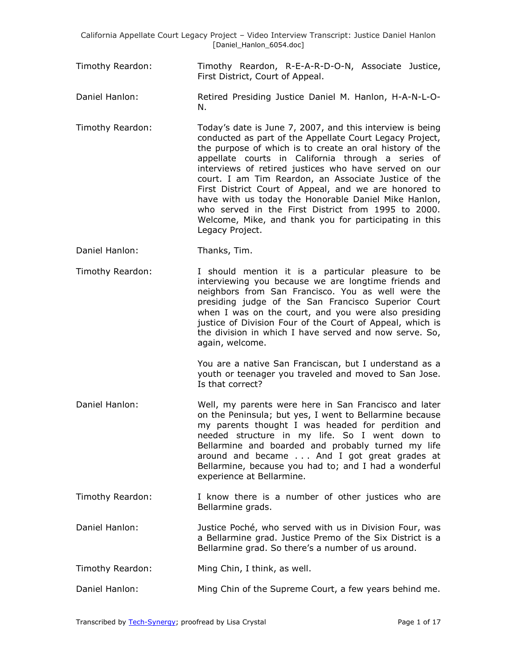Timothy Reardon: Timothy Reardon, R-E-A-R-D-O-N, Associate Justice, First District, Court of Appeal.

Daniel Hanlon: Retired Presiding Justice Daniel M. Hanlon, H-A-N-L-O-N.

Timothy Reardon: Today's date is June 7, 2007, and this interview is being conducted as part of the Appellate Court Legacy Project, the purpose of which is to create an oral history of the appellate courts in California through a series of interviews of retired justices who have served on our court. I am Tim Reardon, an Associate Justice of the First District Court of Appeal, and we are honored to have with us today the Honorable Daniel Mike Hanlon, who served in the First District from 1995 to 2000. Welcome, Mike, and thank you for participating in this Legacy Project.

- Daniel Hanlon: Thanks, Tim.
- Timothy Reardon: I should mention it is a particular pleasure to be interviewing you because we are longtime friends and neighbors from San Francisco. You as well were the presiding judge of the San Francisco Superior Court when I was on the court, and you were also presiding justice of Division Four of the Court of Appeal, which is the division in which I have served and now serve. So, again, welcome.

You are a native San Franciscan, but I understand as a youth or teenager you traveled and moved to San Jose. Is that correct?

- Daniel Hanlon: Well, my parents were here in San Francisco and later on the Peninsula; but yes, I went to Bellarmine because my parents thought I was headed for perdition and needed structure in my life. So I went down to Bellarmine and boarded and probably turned my life around and became . . . And I got great grades at Bellarmine, because you had to; and I had a wonderful experience at Bellarmine.
- Timothy Reardon: I know there is a number of other justices who are Bellarmine grads.
- Daniel Hanlon: Justice Poché, who served with us in Division Four, was a Bellarmine grad. Justice Premo of the Six District is a Bellarmine grad. So there's a number of us around.

Timothy Reardon: Ming Chin, I think, as well.

Daniel Hanlon: Ming Chin of the Supreme Court, a few years behind me.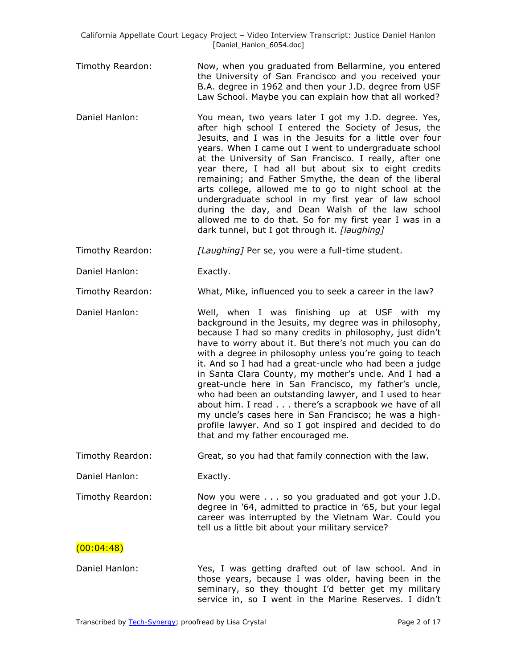- Timothy Reardon: Now, when you graduated from Bellarmine, you entered the University of San Francisco and you received your B.A. degree in 1962 and then your J.D. degree from USF Law School. Maybe you can explain how that all worked?
- Daniel Hanlon: You mean, two years later I got my J.D. degree. Yes, after high school I entered the Society of Jesus, the Jesuits, and I was in the Jesuits for a little over four years. When I came out I went to undergraduate school at the University of San Francisco. I really, after one year there, I had all but about six to eight credits remaining; and Father Smythe, the dean of the liberal arts college, allowed me to go to night school at the undergraduate school in my first year of law school during the day, and Dean Walsh of the law school allowed me to do that. So for my first year I was in a dark tunnel, but I got through it. *[laughing]*

Timothy Reardon: *[Laughing]* Per se, you were a full-time student.

Daniel Hanlon: Exactly.

Timothy Reardon: What, Mike, influenced you to seek a career in the law?

Daniel Hanlon: Well, when I was finishing up at USF with my background in the Jesuits, my degree was in philosophy, because I had so many credits in philosophy, just didn't have to worry about it. But there's not much you can do with a degree in philosophy unless you're going to teach it. And so I had had a great-uncle who had been a judge in Santa Clara County, my mother's uncle. And I had a great-uncle here in San Francisco, my father's uncle, who had been an outstanding lawyer, and I used to hear about him. I read . . . there's a scrapbook we have of all my uncle's cases here in San Francisco; he was a highprofile lawyer. And so I got inspired and decided to do that and my father encouraged me.

Timothy Reardon: Great, so you had that family connection with the law.

Daniel Hanlon: Exactly.

Timothy Reardon: Now you were . . . so you graduated and got your J.D. degree in '64, admitted to practice in '65, but your legal career was interrupted by the Vietnam War. Could you tell us a little bit about your military service?

## $(00:04:48)$

Daniel Hanlon: Yes, I was getting drafted out of law school. And in those years, because I was older, having been in the seminary, so they thought I'd better get my military service in, so I went in the Marine Reserves. I didn't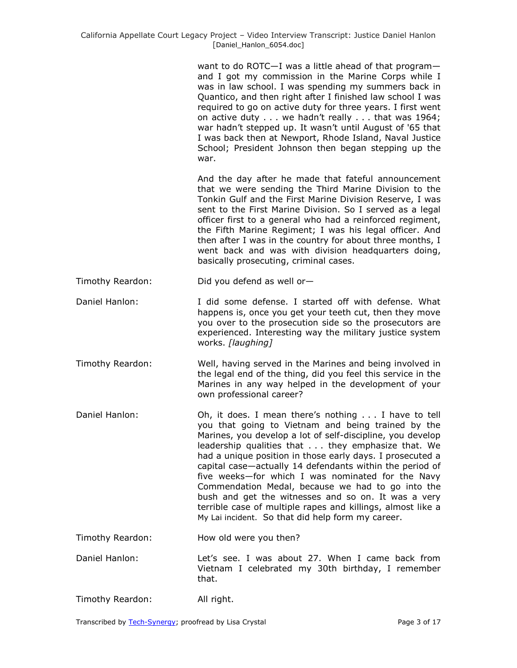want to do ROTC—I was a little ahead of that program and I got my commission in the Marine Corps while I was in law school. I was spending my summers back in Quantico, and then right after I finished law school I was required to go on active duty for three years. I first went on active duty . . . we hadn't really . . . that was 1964; war hadn't stepped up. It wasn't until August of '65 that I was back then at Newport, Rhode Island, Naval Justice School; President Johnson then began stepping up the war.

And the day after he made that fateful announcement that we were sending the Third Marine Division to the Tonkin Gulf and the First Marine Division Reserve, I was sent to the First Marine Division. So I served as a legal officer first to a general who had a reinforced regiment, the Fifth Marine Regiment; I was his legal officer. And then after I was in the country for about three months, I went back and was with division headquarters doing, basically prosecuting, criminal cases.

Timothy Reardon: Did you defend as well or—

- Daniel Hanlon: I did some defense. I started off with defense. What happens is, once you get your teeth cut, then they move you over to the prosecution side so the prosecutors are experienced. Interesting way the military justice system works. *[laughing]*
- Timothy Reardon: Well, having served in the Marines and being involved in the legal end of the thing, did you feel this service in the Marines in any way helped in the development of your own professional career?
- Daniel Hanlon: Oh, it does. I mean there's nothing . . . I have to tell you that going to Vietnam and being trained by the Marines, you develop a lot of self-discipline, you develop leadership qualities that . . . they emphasize that. We had a unique position in those early days. I prosecuted a capital case—actually 14 defendants within the period of five weeks—for which I was nominated for the Navy Commendation Medal, because we had to go into the bush and get the witnesses and so on. It was a very terrible case of multiple rapes and killings, almost like a My Lai incident. So that did help form my career.
- Timothy Reardon: How old were you then?
- Daniel Hanlon: Let's see. I was about 27. When I came back from Vietnam I celebrated my 30th birthday, I remember that.
- Timothy Reardon: All right.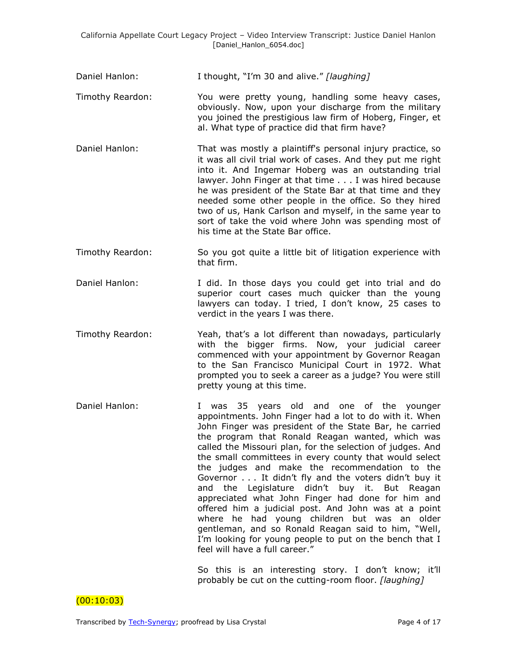| Daniel Hanlon:   | I thought, "I'm 30 and alive." [laughing]                                                                                                                                                                                                                                                                                                                                                                                                                                                                                                                                                                                                                                                                                                                                                                                                         |
|------------------|---------------------------------------------------------------------------------------------------------------------------------------------------------------------------------------------------------------------------------------------------------------------------------------------------------------------------------------------------------------------------------------------------------------------------------------------------------------------------------------------------------------------------------------------------------------------------------------------------------------------------------------------------------------------------------------------------------------------------------------------------------------------------------------------------------------------------------------------------|
| Timothy Reardon: | You were pretty young, handling some heavy cases,<br>obviously. Now, upon your discharge from the military<br>you joined the prestigious law firm of Hoberg, Finger, et<br>al. What type of practice did that firm have?                                                                                                                                                                                                                                                                                                                                                                                                                                                                                                                                                                                                                          |
| Daniel Hanlon:   | That was mostly a plaintiff's personal injury practice, so<br>it was all civil trial work of cases. And they put me right<br>into it. And Ingemar Hoberg was an outstanding trial<br>lawyer. John Finger at that time I was hired because<br>he was president of the State Bar at that time and they<br>needed some other people in the office. So they hired<br>two of us, Hank Carlson and myself, in the same year to<br>sort of take the void where John was spending most of<br>his time at the State Bar office.                                                                                                                                                                                                                                                                                                                            |
| Timothy Reardon: | So you got quite a little bit of litigation experience with<br>that firm.                                                                                                                                                                                                                                                                                                                                                                                                                                                                                                                                                                                                                                                                                                                                                                         |
| Daniel Hanlon:   | I did. In those days you could get into trial and do<br>superior court cases much quicker than the young<br>lawyers can today. I tried, I don't know, 25 cases to<br>verdict in the years I was there.                                                                                                                                                                                                                                                                                                                                                                                                                                                                                                                                                                                                                                            |
| Timothy Reardon: | Yeah, that's a lot different than nowadays, particularly<br>with the bigger firms. Now, your judicial career<br>commenced with your appointment by Governor Reagan<br>to the San Francisco Municipal Court in 1972. What<br>prompted you to seek a career as a judge? You were still<br>pretty young at this time.                                                                                                                                                                                                                                                                                                                                                                                                                                                                                                                                |
| Daniel Hanlon:   | years old and one of the younger<br>was<br>35<br>$\mathbf{I}$<br>appointments. John Finger had a lot to do with it. When<br>John Finger was president of the State Bar, he carried<br>the program that Ronald Reagan wanted, which was<br>called the Missouri plan, for the selection of judges. And<br>the small committees in every county that would select<br>the judges and make the recommendation to the<br>Governor It didn't fly and the voters didn't buy it<br>didn't<br>the Legislature<br>buy it. But Reagan<br>and<br>appreciated what John Finger had done for him and<br>offered him a judicial post. And John was at a point<br>where he had young children but was an older<br>gentleman, and so Ronald Reagan said to him, "Well,<br>I'm looking for young people to put on the bench that I<br>feel will have a full career." |

So this is an interesting story. I don't know; it'll probably be cut on the cutting-room floor. *[laughing]*

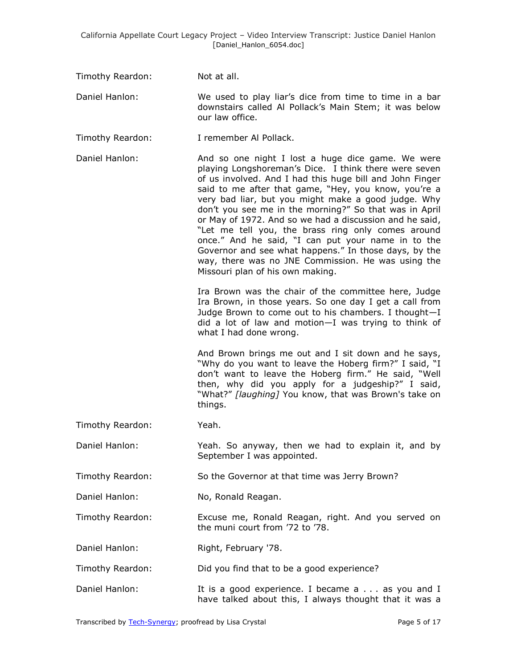| Timothy Reardon: | Not at all. |
|------------------|-------------|
|------------------|-------------|

- Daniel Hanlon: We used to play liar's dice from time to time in a bar downstairs called Al Pollack's Main Stem; it was below our law office.
- Timothy Reardon: I remember Al Pollack.
- Daniel Hanlon: And so one night I lost a huge dice game. We were playing Longshoreman's Dice. I think there were seven of us involved. And I had this huge bill and John Finger said to me after that game, "Hey, you know, you're a very bad liar, but you might make a good judge. Why don't you see me in the morning?" So that was in April or May of 1972. And so we had a discussion and he said, "Let me tell you, the brass ring only comes around once." And he said, "I can put your name in to the Governor and see what happens." In those days, by the way, there was no JNE Commission. He was using the Missouri plan of his own making.

Ira Brown was the chair of the committee here, Judge Ira Brown, in those years. So one day I get a call from Judge Brown to come out to his chambers. I thought—I did a lot of law and motion—I was trying to think of what I had done wrong.

And Brown brings me out and I sit down and he says, "Why do you want to leave the Hoberg firm?" I said, "I don't want to leave the Hoberg firm." He said, "Well then, why did you apply for a judgeship?" I said, "What?" *[laughing]* You know, that was Brown's take on things.

- Timothy Reardon: Yeah.
- Daniel Hanlon: Yeah. So anyway, then we had to explain it, and by September I was appointed.
- Timothy Reardon: So the Governor at that time was Jerry Brown?
- Daniel Hanlon: No, Ronald Reagan.
- Timothy Reardon: Excuse me, Ronald Reagan, right. And you served on the muni court from '72 to '78.
- Daniel Hanlon: Right, February '78.
- Timothy Reardon: Did you find that to be a good experience?
- Daniel Hanlon: It is a good experience. I became a . . . as you and I have talked about this, I always thought that it was a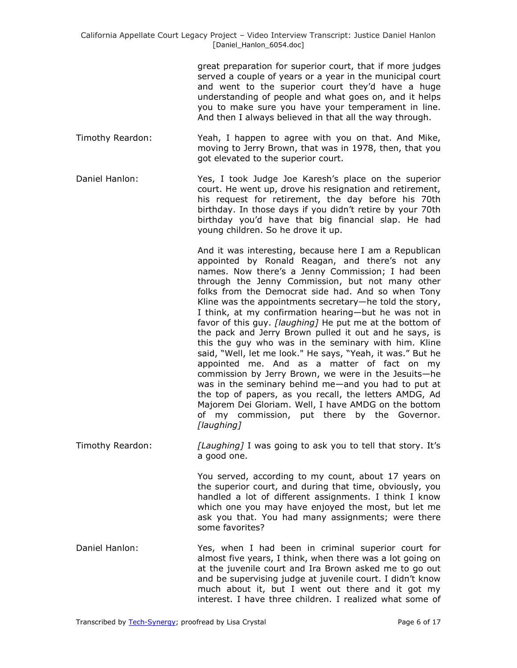great preparation for superior court, that if more judges served a couple of years or a year in the municipal court and went to the superior court they'd have a huge understanding of people and what goes on, and it helps you to make sure you have your temperament in line. And then I always believed in that all the way through.

- Timothy Reardon: Yeah, I happen to agree with you on that. And Mike, moving to Jerry Brown, that was in 1978, then, that you got elevated to the superior court.
- Daniel Hanlon: Yes, I took Judge Joe Karesh's place on the superior court. He went up, drove his resignation and retirement, his request for retirement, the day before his 70th birthday. In those days if you didn't retire by your 70th birthday you'd have that big financial slap. He had young children. So he drove it up.

And it was interesting, because here I am a Republican appointed by Ronald Reagan, and there's not any names. Now there's a Jenny Commission; I had been through the Jenny Commission, but not many other folks from the Democrat side had. And so when Tony Kline was the appointments secretary—he told the story, I think, at my confirmation hearing—but he was not in favor of this guy. *[laughing]* He put me at the bottom of the pack and Jerry Brown pulled it out and he says, is this the guy who was in the seminary with him. Kline said, "Well, let me look." He says, "Yeah, it was." But he appointed me. And as a matter of fact on my commission by Jerry Brown, we were in the Jesuits—he was in the seminary behind me—and you had to put at the top of papers, as you recall, the letters AMDG, Ad Majorem Dei Gloriam. Well, I have AMDG on the bottom of my commission, put there by the Governor. *[laughing]*

Timothy Reardon: *[Laughing]* I was going to ask you to tell that story. It's a good one.

> You served, according to my count, about 17 years on the superior court, and during that time, obviously, you handled a lot of different assignments. I think I know which one you may have enjoyed the most, but let me ask you that. You had many assignments; were there some favorites?

Daniel Hanlon: Yes, when I had been in criminal superior court for almost five years, I think, when there was a lot going on at the juvenile court and Ira Brown asked me to go out and be supervising judge at juvenile court. I didn't know much about it, but I went out there and it got my interest. I have three children. I realized what some of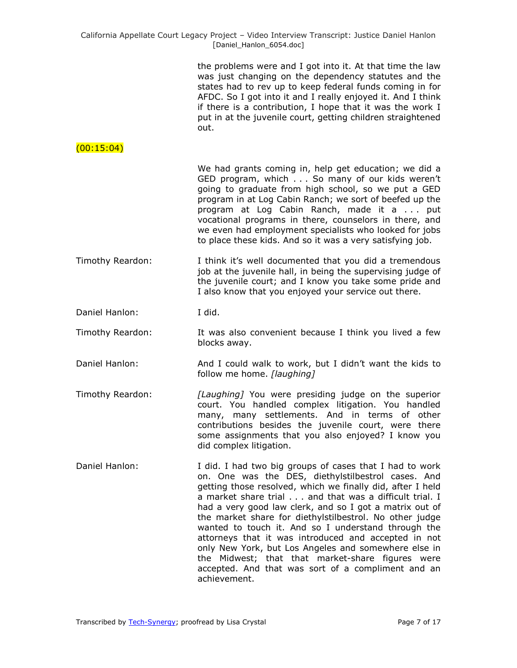| the problems were and I got into it. At that time the law   |
|-------------------------------------------------------------|
| was just changing on the dependency statutes and the        |
| states had to rev up to keep federal funds coming in for    |
| AFDC. So I got into it and I really enjoyed it. And I think |
| if there is a contribution, I hope that it was the work I   |
| put in at the juvenile court, getting children straightened |
| out.                                                        |

## $(00:15:04)$

We had grants coming in, help get education; we did a GED program, which . . . So many of our kids weren't going to graduate from high school, so we put a GED program in at Log Cabin Ranch; we sort of beefed up the program at Log Cabin Ranch, made it a . . . put vocational programs in there, counselors in there, and we even had employment specialists who looked for jobs to place these kids. And so it was a very satisfying job.

- Timothy Reardon: I think it's well documented that you did a tremendous job at the juvenile hall, in being the supervising judge of the juvenile court; and I know you take some pride and I also know that you enjoyed your service out there.
- Daniel Hanlon: I did.
- Timothy Reardon: It was also convenient because I think you lived a few blocks away.
- Daniel Hanlon: And I could walk to work, but I didn't want the kids to follow me home. *[laughing]*
- Timothy Reardon: *[Laughing]* You were presiding judge on the superior court. You handled complex litigation. You handled many, many settlements. And in terms of other contributions besides the juvenile court, were there some assignments that you also enjoyed? I know you did complex litigation.
- Daniel Hanlon: I did. I had two big groups of cases that I had to work on. One was the DES, diethylstilbestrol cases. And getting those resolved, which we finally did, after I held a market share trial . . . and that was a difficult trial. I had a very good law clerk, and so I got a matrix out of the market share for diethylstilbestrol. No other judge wanted to touch it. And so I understand through the attorneys that it was introduced and accepted in not only New York, but Los Angeles and somewhere else in the Midwest; that that market-share figures were accepted. And that was sort of a compliment and an achievement.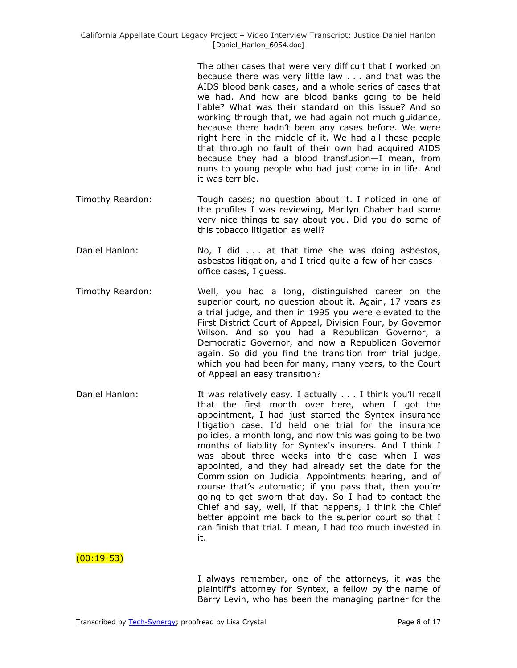The other cases that were very difficult that I worked on because there was very little law . . . and that was the AIDS blood bank cases, and a whole series of cases that we had. And how are blood banks going to be held liable? What was their standard on this issue? And so working through that, we had again not much guidance, because there hadn't been any cases before. We were right here in the middle of it. We had all these people that through no fault of their own had acquired AIDS because they had a blood transfusion—I mean, from nuns to young people who had just come in in life. And it was terrible.

- Timothy Reardon: Tough cases; no question about it. I noticed in one of the profiles I was reviewing, Marilyn Chaber had some very nice things to say about you. Did you do some of this tobacco litigation as well?
- Daniel Hanlon: No, I did . . . at that time she was doing asbestos, asbestos litigation, and I tried quite a few of her cases office cases, I guess.
- Timothy Reardon: Well, you had a long, distinguished career on the superior court, no question about it. Again, 17 years as a trial judge, and then in 1995 you were elevated to the First District Court of Appeal, Division Four, by Governor Wilson. And so you had a Republican Governor, a Democratic Governor, and now a Republican Governor again. So did you find the transition from trial judge, which you had been for many, many years, to the Court of Appeal an easy transition?
- Daniel Hanlon: It was relatively easy. I actually . . . I think you'll recall that the first month over here, when I got the appointment, I had just started the Syntex insurance litigation case. I'd held one trial for the insurance policies, a month long, and now this was going to be two months of liability for Syntex's insurers. And I think I was about three weeks into the case when I was appointed, and they had already set the date for the Commission on Judicial Appointments hearing, and of course that's automatic; if you pass that, then you're going to get sworn that day. So I had to contact the Chief and say, well, if that happens, I think the Chief better appoint me back to the superior court so that I can finish that trial. I mean, I had too much invested in it.

 $(00:19:53)$ 

I always remember, one of the attorneys, it was the plaintiff's attorney for Syntex, a fellow by the name of Barry Levin, who has been the managing partner for the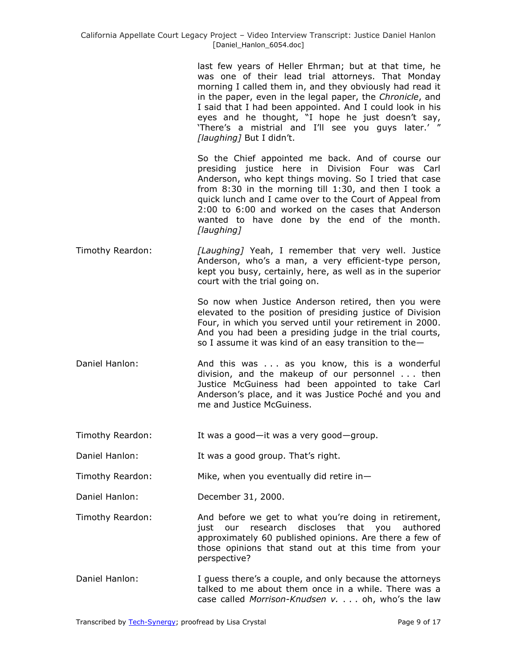last few years of Heller Ehrman; but at that time, he was one of their lead trial attorneys. That Monday morning I called them in, and they obviously had read it in the paper, even in the legal paper, the *Chronicle*, and I said that I had been appointed. And I could look in his eyes and he thought, "I hope he just doesn't say, 'There's a mistrial and I'll see you guys later.' " *[laughing]* But I didn't.

So the Chief appointed me back. And of course our presiding justice here in Division Four was Carl Anderson, who kept things moving. So I tried that case from 8:30 in the morning till 1:30, and then I took a quick lunch and I came over to the Court of Appeal from 2:00 to 6:00 and worked on the cases that Anderson wanted to have done by the end of the month. *[laughing]*

Timothy Reardon: *[Laughing]* Yeah, I remember that very well. Justice Anderson, who's a man, a very efficient-type person, kept you busy, certainly, here, as well as in the superior court with the trial going on.

> So now when Justice Anderson retired, then you were elevated to the position of presiding justice of Division Four, in which you served until your retirement in 2000. And you had been a presiding judge in the trial courts, so I assume it was kind of an easy transition to the—

- Daniel Hanlon: **And this was ...** as you know, this is a wonderful division, and the makeup of our personnel . . . then Justice McGuiness had been appointed to take Carl Anderson's place, and it was Justice Poché and you and me and Justice McGuiness.
- Timothy Reardon: It was a good—it was a very good—group.
- Daniel Hanlon: It was a good group. That's right.
- Timothy Reardon: Mike, when you eventually did retire in—
- Daniel Hanlon: December 31, 2000.
- Timothy Reardon: And before we get to what you're doing in retirement, just our research discloses that you authored approximately 60 published opinions. Are there a few of those opinions that stand out at this time from your perspective?
- Daniel Hanlon: I guess there's a couple, and only because the attorneys talked to me about them once in a while. There was a case called *Morrison-Knudsen v.* . . . oh, who's the law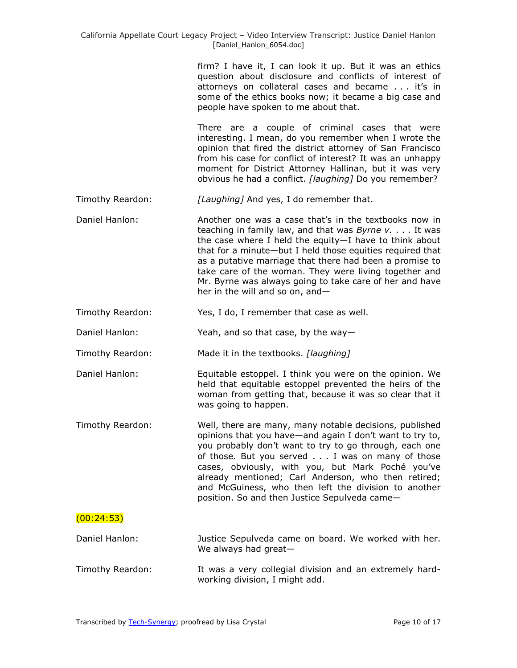firm? I have it, I can look it up. But it was an ethics question about disclosure and conflicts of interest of attorneys on collateral cases and became . . . it's in some of the ethics books now; it became a big case and people have spoken to me about that.

There are a couple of criminal cases that were interesting. I mean, do you remember when I wrote the opinion that fired the district attorney of San Francisco from his case for conflict of interest? It was an unhappy moment for District Attorney Hallinan, but it was very obvious he had a conflict. *[laughing]* Do you remember?

- Timothy Reardon: *[Laughing]* And yes, I do remember that.
- Daniel Hanlon: Another one was a case that's in the textbooks now in teaching in family law, and that was *Byrne v.* . . . It was the case where I held the equity—I have to think about that for a minute—but I held those equities required that as a putative marriage that there had been a promise to take care of the woman. They were living together and Mr. Byrne was always going to take care of her and have her in the will and so on, and—
- Timothy Reardon: Yes, I do, I remember that case as well.
- Daniel Hanlon: Yeah, and so that case, by the way—
- Timothy Reardon: Made it in the textbooks. *[laughing]*
- Daniel Hanlon: Equitable estoppel. I think you were on the opinion. We held that equitable estoppel prevented the heirs of the woman from getting that, because it was so clear that it was going to happen.
- Timothy Reardon: Well, there are many, many notable decisions, published opinions that you have—and again I don't want to try to, you probably don't want to try to go through, each one of those. But you served . . . I was on many of those cases, obviously, with you, but Mark Poché you've already mentioned; Carl Anderson, who then retired; and McGuiness, who then left the division to another position. So and then Justice Sepulveda came—

## (00:24:53)

- Daniel Hanlon: Justice Sepulveda came on board. We worked with her. We always had great—
- Timothy Reardon: It was a very collegial division and an extremely hardworking division, I might add.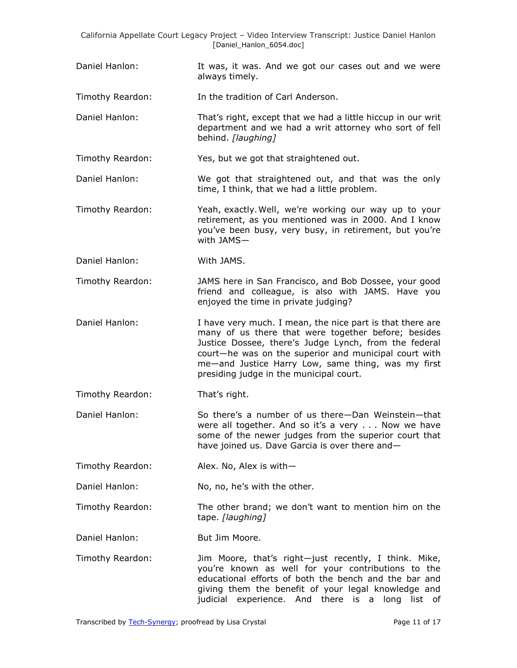Daniel Hanlon: It was, it was. And we got our cases out and we were always timely.

Timothy Reardon: In the tradition of Carl Anderson.

Daniel Hanlon: That's right, except that we had a little hiccup in our writ department and we had a writ attorney who sort of fell behind. *[laughing]*

Timothy Reardon: Yes, but we got that straightened out.

- Daniel Hanlon: We got that straightened out, and that was the only time, I think, that we had a little problem.
- Timothy Reardon: Yeah, exactly.Well, we're working our way up to your retirement, as you mentioned was in 2000. And I know you've been busy, very busy, in retirement, but you're with JAMS—
- Daniel Hanlon: With JAMS.
- Timothy Reardon: JAMS here in San Francisco, and Bob Dossee, your good friend and colleague, is also with JAMS. Have you enjoyed the time in private judging?
- Daniel Hanlon: I have very much. I mean, the nice part is that there are many of us there that were together before; besides Justice Dossee, there's Judge Lynch, from the federal court—he was on the superior and municipal court with me—and Justice Harry Low, same thing, was my first presiding judge in the municipal court.
- Timothy Reardon: That's right.
- Daniel Hanlon: So there's a number of us there—Dan Weinstein—that were all together. And so it's a very . . . Now we have some of the newer judges from the superior court that have joined us. Dave Garcia is over there and—
- Timothy Reardon: Alex. No, Alex is with—

Daniel Hanlon: No, no, he's with the other.

- Timothy Reardon: The other brand; we don't want to mention him on the tape. *[laughing]*
- Daniel Hanlon: But Jim Moore.
- Timothy Reardon: Jim Moore, that's right—just recently, I think. Mike, you're known as well for your contributions to the educational efforts of both the bench and the bar and giving them the benefit of your legal knowledge and judicial experience. And there is a long list of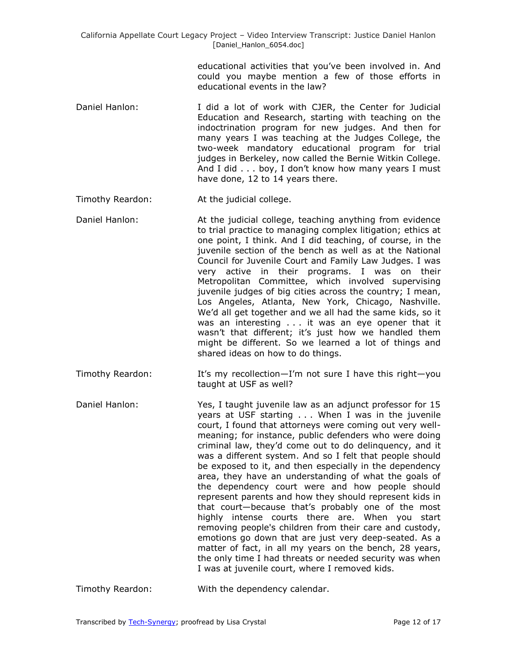> educational activities that you've been involved in. And could you maybe mention a few of those efforts in educational events in the law?

- Daniel Hanlon: I did a lot of work with CJER, the Center for Judicial Education and Research, starting with teaching on the indoctrination program for new judges. And then for many years I was teaching at the Judges College, the two-week mandatory educational program for trial judges in Berkeley, now called the Bernie Witkin College. And I did . . . boy, I don't know how many years I must have done, 12 to 14 years there.
- Timothy Reardon: At the judicial college.
- Daniel Hanlon: At the judicial college, teaching anything from evidence to trial practice to managing complex litigation; ethics at one point, I think. And I did teaching, of course, in the juvenile section of the bench as well as at the National Council for Juvenile Court and Family Law Judges. I was very active in their programs. I was on their Metropolitan Committee, which involved supervising juvenile judges of big cities across the country; I mean, Los Angeles, Atlanta, New York, Chicago, Nashville. We'd all get together and we all had the same kids, so it was an interesting . . . it was an eye opener that it wasn't that different; it's just how we handled them might be different. So we learned a lot of things and shared ideas on how to do things.
- Timothy Reardon: It's my recollection—I'm not sure I have this right—you taught at USF as well?
- Daniel Hanlon: Yes, I taught juvenile law as an adjunct professor for 15 years at USF starting . . . When I was in the juvenile court, I found that attorneys were coming out very wellmeaning; for instance, public defenders who were doing criminal law, they'd come out to do delinquency, and it was a different system. And so I felt that people should be exposed to it, and then especially in the dependency area, they have an understanding of what the goals of the dependency court were and how people should represent parents and how they should represent kids in that court—because that's probably one of the most highly intense courts there are. When you start removing people's children from their care and custody, emotions go down that are just very deep-seated. As a matter of fact, in all my years on the bench, 28 years, the only time I had threats or needed security was when I was at juvenile court, where I removed kids.
- Timothy Reardon: With the dependency calendar.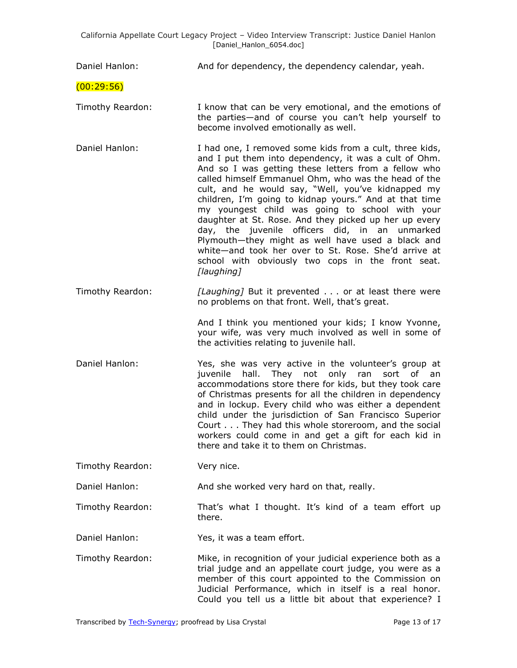| Daniel Hanlon:   | And for dependency, the dependency calendar, yeah.                                                                                                                                                                                                                                                                                                                                                                                                                                                                                                                                                                                                                                             |
|------------------|------------------------------------------------------------------------------------------------------------------------------------------------------------------------------------------------------------------------------------------------------------------------------------------------------------------------------------------------------------------------------------------------------------------------------------------------------------------------------------------------------------------------------------------------------------------------------------------------------------------------------------------------------------------------------------------------|
| (00:29:56)       |                                                                                                                                                                                                                                                                                                                                                                                                                                                                                                                                                                                                                                                                                                |
| Timothy Reardon: | I know that can be very emotional, and the emotions of<br>the parties-and of course you can't help yourself to<br>become involved emotionally as well.                                                                                                                                                                                                                                                                                                                                                                                                                                                                                                                                         |
| Daniel Hanlon:   | I had one, I removed some kids from a cult, three kids,<br>and I put them into dependency, it was a cult of Ohm.<br>And so I was getting these letters from a fellow who<br>called himself Emmanuel Ohm, who was the head of the<br>cult, and he would say, "Well, you've kidnapped my<br>children, I'm going to kidnap yours." And at that time<br>my youngest child was going to school with your<br>daughter at St. Rose. And they picked up her up every<br>day, the juvenile officers did, in an unmarked<br>Plymouth-they might as well have used a black and<br>white-and took her over to St. Rose. She'd arrive at<br>school with obviously two cops in the front seat.<br>[laughing] |
| Timothy Reardon: | [Laughing] But it prevented or at least there were<br>no problems on that front. Well, that's great.                                                                                                                                                                                                                                                                                                                                                                                                                                                                                                                                                                                           |
|                  | And I think you mentioned your kids; I know Yvonne,<br>your wife, was very much involved as well in some of<br>the activities relating to juvenile hall.                                                                                                                                                                                                                                                                                                                                                                                                                                                                                                                                       |
| Daniel Hanlon:   | Yes, she was very active in the volunteer's group at<br>juvenile<br>hall.<br>They not only ran<br>sort of an<br>accommodations store there for kids, but they took care<br>of Christmas presents for all the children in dependency<br>and in lockup. Every child who was either a dependent<br>child under the jurisdiction of San Francisco Superior<br>Court They had this whole storeroom, and the social<br>workers could come in and get a gift for each kid in<br>there and take it to them on Christmas.                                                                                                                                                                               |
| Timothy Reardon: | Very nice.                                                                                                                                                                                                                                                                                                                                                                                                                                                                                                                                                                                                                                                                                     |
| Daniel Hanlon:   | And she worked very hard on that, really.                                                                                                                                                                                                                                                                                                                                                                                                                                                                                                                                                                                                                                                      |
| Timothy Reardon: | That's what I thought. It's kind of a team effort up<br>there.                                                                                                                                                                                                                                                                                                                                                                                                                                                                                                                                                                                                                                 |
| Daniel Hanlon:   | Yes, it was a team effort.                                                                                                                                                                                                                                                                                                                                                                                                                                                                                                                                                                                                                                                                     |
| Timothy Reardon: | Mike, in recognition of your judicial experience both as a<br>trial judge and an appellate court judge, you were as a<br>member of this court appointed to the Commission on<br>Judicial Performance, which in itself is a real honor.<br>Could you tell us a little bit about that experience? I                                                                                                                                                                                                                                                                                                                                                                                              |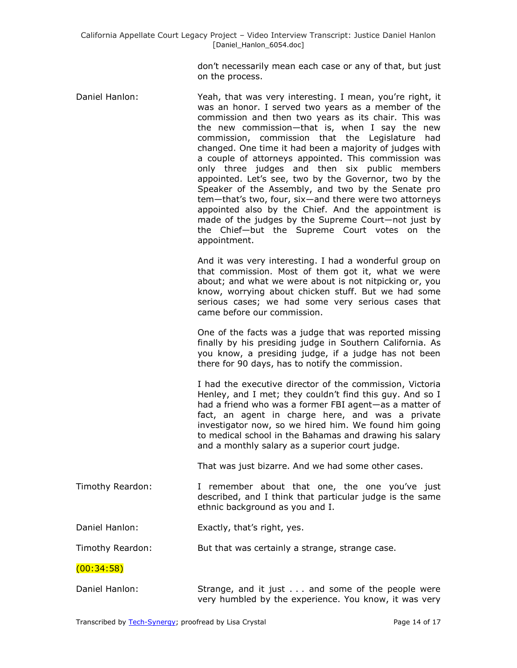don't necessarily mean each case or any of that, but just on the process.

Daniel Hanlon: Yeah, that was very interesting. I mean, you're right, it was an honor. I served two years as a member of the commission and then two years as its chair. This was the new commission—that is, when I say the new commission, commission that the Legislature had changed. One time it had been a majority of judges with a couple of attorneys appointed. This commission was only three judges and then six public members appointed. Let's see, two by the Governor, two by the Speaker of the Assembly, and two by the Senate pro tem—that's two, four, six—and there were two attorneys appointed also by the Chief. And the appointment is made of the judges by the Supreme Court—not just by the Chief—but the Supreme Court votes on the appointment.

And it was very interesting. I had a wonderful group on that commission. Most of them got it, what we were about; and what we were about is not nitpicking or, you know, worrying about chicken stuff. But we had some serious cases; we had some very serious cases that came before our commission.

One of the facts was a judge that was reported missing finally by his presiding judge in Southern California. As you know, a presiding judge, if a judge has not been there for 90 days, has to notify the commission.

I had the executive director of the commission, Victoria Henley, and I met; they couldn't find this guy. And so I had a friend who was a former FBI agent—as a matter of fact, an agent in charge here, and was a private investigator now, so we hired him. We found him going to medical school in the Bahamas and drawing his salary and a monthly salary as a superior court judge.

That was just bizarre. And we had some other cases.

- Timothy Reardon: I remember about that one, the one you've just described, and I think that particular judge is the same ethnic background as you and I.
- Daniel Hanlon: Exactly, that's right, yes.

Timothy Reardon: But that was certainly a strange, strange case.

(00:34:58)

Daniel Hanlon: Strange, and it just . . . and some of the people were very humbled by the experience. You know, it was very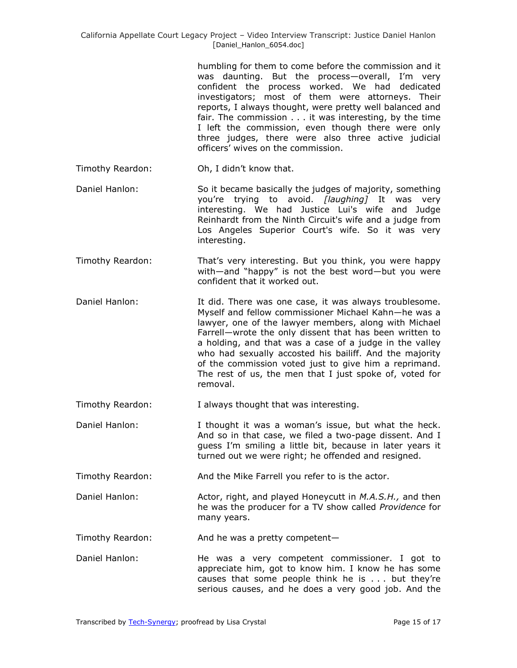humbling for them to come before the commission and it was daunting. But the process—overall, I'm very confident the process worked. We had dedicated investigators; most of them were attorneys. Their reports, I always thought, were pretty well balanced and fair. The commission . . . it was interesting, by the time I left the commission, even though there were only three judges, there were also three active judicial officers' wives on the commission.

Timothy Reardon: Oh, I didn't know that.

- Daniel Hanlon: So it became basically the judges of majority, something you're trying to avoid. *[laughing]* It was very interesting. We had Justice Lui's wife and Judge Reinhardt from the Ninth Circuit's wife and a judge from Los Angeles Superior Court's wife. So it was very interesting.
- Timothy Reardon: That's very interesting. But you think, you were happy with—and "happy" is not the best word—but you were confident that it worked out.
- Daniel Hanlon: It did. There was one case, it was always troublesome. Myself and fellow commissioner Michael Kahn—he was a lawyer, one of the lawyer members, along with Michael Farrell—wrote the only dissent that has been written to a holding, and that was a case of a judge in the valley who had sexually accosted his bailiff. And the majority of the commission voted just to give him a reprimand. The rest of us, the men that I just spoke of, voted for removal.

Timothy Reardon: I always thought that was interesting.

Daniel Hanlon: I thought it was a woman's issue, but what the heck. And so in that case, we filed a two-page dissent. And I guess I'm smiling a little bit, because in later years it turned out we were right; he offended and resigned.

Timothy Reardon: And the Mike Farrell you refer to is the actor.

Daniel Hanlon: Actor, right, and played Honeycutt in *M.A.S.H.,* and then he was the producer for a TV show called *Providence* for many years.

Timothy Reardon: And he was a pretty competent—

Daniel Hanlon: He was a very competent commissioner. I got to appreciate him, got to know him. I know he has some causes that some people think he is . . . but they're serious causes, and he does a very good job. And the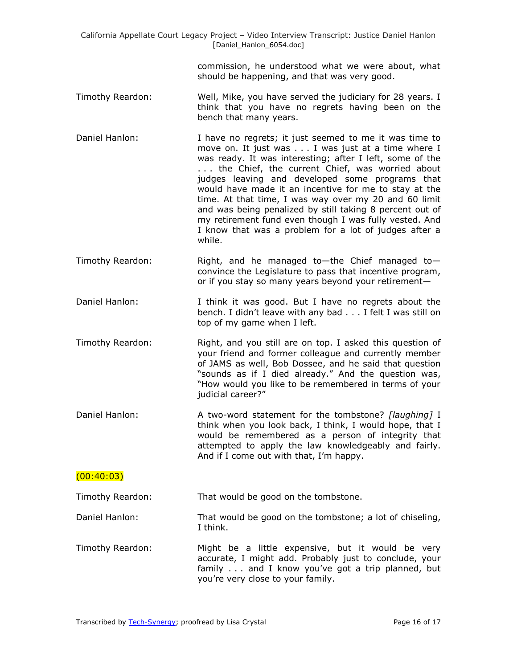> commission, he understood what we were about, what should be happening, and that was very good.

- Timothy Reardon: Well, Mike, you have served the judiciary for 28 years. I think that you have no regrets having been on the bench that many years.
- Daniel Hanlon: I have no regrets; it just seemed to me it was time to move on. It just was . . . I was just at a time where I was ready. It was interesting; after I left, some of the . . . the Chief, the current Chief, was worried about judges leaving and developed some programs that would have made it an incentive for me to stay at the time. At that time, I was way over my 20 and 60 limit and was being penalized by still taking 8 percent out of my retirement fund even though I was fully vested. And I know that was a problem for a lot of judges after a while.
- Timothy Reardon: Right, and he managed to—the Chief managed to convince the Legislature to pass that incentive program, or if you stay so many years beyond your retirement—
- Daniel Hanlon: I think it was good. But I have no regrets about the bench. I didn't leave with any bad . . . I felt I was still on top of my game when I left.
- Timothy Reardon: Right, and you still are on top. I asked this question of your friend and former colleague and currently member of JAMS as well, Bob Dossee, and he said that question "sounds as if I died already." And the question was, "How would you like to be remembered in terms of your judicial career?"
- Daniel Hanlon: A two-word statement for the tombstone? *[laughing]* I think when you look back, I think, I would hope, that I would be remembered as a person of integrity that attempted to apply the law knowledgeably and fairly. And if I come out with that, I'm happy.

## $(00:40:03)$

Timothy Reardon: That would be good on the tombstone.

Daniel Hanlon: That would be good on the tombstone; a lot of chiseling, I think.

Timothy Reardon: Might be a little expensive, but it would be very accurate, I might add. Probably just to conclude, your family . . . and I know you've got a trip planned, but you're very close to your family.